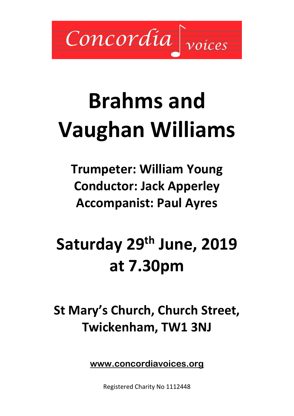Concordia

# **Brahms and Vaughan Williams**

**Trumpeter: William Young Conductor: Jack Apperley Accompanist: Paul Ayres**

## **Saturday 29th June, 2019 at 7.30pm**

## **St Mary's Church, Church Street, Twickenham, TW1 3NJ**

**[www.concordiavoices.org](http://www.concordiavoices.org/)** 

Registered Charity No 1112448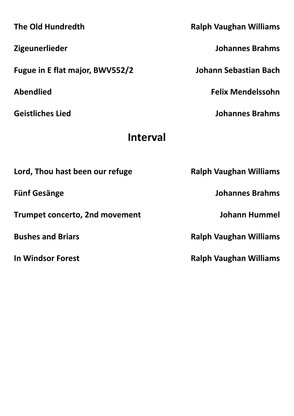**The Old Hundredth Ralph Vaughan Williams Zigeunerlieder Johannes Brahms Fugue in E flat major, BWV552/2 Johann Sebastian Bach Abendlied Felix Mendelssohn Geistliches Lied Johannes Brahms Interval** Lord, Thou hast been our refuge **Ralph Vaughan Williams Fünf Gesänge Johannes Brahms Trumpet concerto, 2nd movement Johann Hummel Bushes and Briars Ralph Vaughan Williams In Windsor Forest Ralph Vaughan Williams**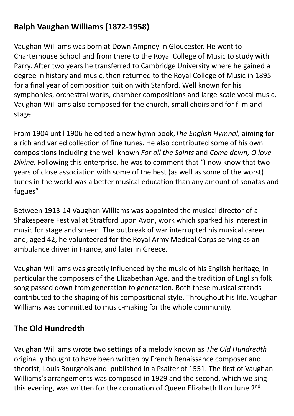### **Ralph Vaughan Williams (1872-1958)**

Vaughan Williams was born at Down Ampney in Gloucester. He went to Charterhouse School and from there to the Royal College of Music to study with Parry. After two years he transferred to Cambridge University where he gained a degree in history and music, then returned to the Royal College of Music in 1895 for a final year of composition tuition with Stanford. Well known for his symphonies, orchestral works, chamber compositions and large-scale vocal music, Vaughan Williams also composed for the church, small choirs and for film and stage.

From 1904 until 1906 he edited a new hymn book,*The English Hymnal,* aiming for a rich and varied collection of fine tunes. He also contributed some of his own compositions including the well-known *For all the Saints* and *Come down, O love Divine.* Following this enterprise, he was to comment that "I now know that two years of close association with some of the best (as well as some of the worst) tunes in the world was a better musical education than any amount of sonatas and fugues".

Between 1913-14 Vaughan Williams was appointed the musical director of a Shakespeare Festival at Stratford upon Avon, work which sparked his interest in music for stage and screen. The outbreak of war interrupted his musical career and, aged 42, he volunteered for the Royal Army Medical Corps serving as an ambulance driver in France, and later in Greece.

Vaughan Williams was greatly influenced by the music of his English heritage, in particular the composers of the Elizabethan Age, and the tradition of English folk song passed down from generation to generation. Both these musical strands contributed to the shaping of his compositional style. Throughout his life, Vaughan Williams was committed to music-making for the whole community.

#### **The Old Hundredth**

Vaughan Williams wrote two settings of a melody known as *The Old Hundredth*  originally thought to have been written by French Renaissance composer and theorist, Louis Bourgeois and published in a Psalter of 1551. The first of Vaughan Williams's arrangements was composed in 1929 and the second, which we sing this evening, was written for the coronation of Queen Elizabeth II on June 2<sup>nd</sup>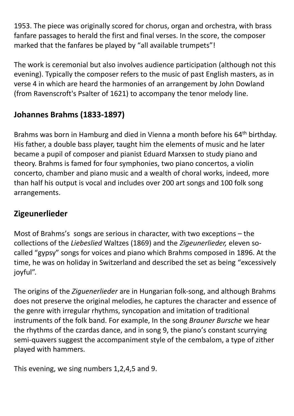1953. The piece was originally scored for chorus, organ and orchestra, with brass fanfare passages to herald the first and final verses. In the score, the composer marked that the fanfares be played by "all available trumpets"!

The work is ceremonial but also involves audience participation (although not this evening). Typically the composer refers to the music of past English masters, as in verse 4 in which are heard the harmonies of an arrangement by John Dowland (from Ravenscroft's Psalter of 1621) to accompany the tenor melody line.

### **Johannes Brahms (1833-1897)**

Brahms was born in Hamburg and died in Vienna a month before his 64<sup>th</sup> birthday. His father, a double bass player, taught him the elements of music and he later became a pupil of composer and pianist Eduard Marxsen to study piano and theory. Brahms is famed for four symphonies, two piano concertos, a violin concerto, chamber and piano music and a wealth of choral works, indeed, more than half his output is vocal and includes over 200 art songs and 100 folk song arrangements.

### **Zigeunerlieder**

Most of Brahms's songs are serious in character, with two exceptions – the collections of the *Liebeslied* Waltzes (1869) and the *Zigeunerlieder,* eleven socalled "gypsy" songs for voices and piano which Brahms composed in 1896. At the time, he was on holiday in Switzerland and described the set as being "excessively joyful".

The origins of the *Ziguenerlieder* are in Hungarian folk-song, and although Brahms does not preserve the original melodies, he captures the character and essence of the genre with irregular rhythms, syncopation and imitation of traditional instruments of the folk band. For example, In the song *Brauner Bursche* we hear the rhythms of the czardas dance, and in song 9, the piano's constant scurrying semi-quavers suggest the accompaniment style of the cembalom, a type of zither played with hammers.

This evening, we sing numbers 1,2,4,5 and 9.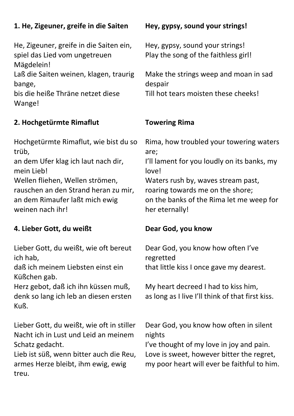| 1. He, Zigeuner, greife in die Saiten                                                           | Hey, gypsy, sound your strings!                                                          |
|-------------------------------------------------------------------------------------------------|------------------------------------------------------------------------------------------|
| He, Zigeuner, greife in die Saiten ein,<br>spiel das Lied vom ungetreuen<br>Mägdelein!          | Hey, gypsy, sound your strings!<br>Play the song of the faithless girl!                  |
| Laß die Saiten weinen, klagen, traurig<br>bange,<br>bis die heiße Thräne netzet diese<br>Wange! | Make the strings weep and moan in sad<br>despair<br>Till hot tears moisten these cheeks! |
|                                                                                                 |                                                                                          |

#### **2. Hochgetürmte Rimaflut**

Hochgetürmte Rimaflut, wie bist du so trüb,

an dem Ufer klag ich laut nach dir, mein Lieb!

Wellen fliehen, Wellen strömen, rauschen an den Strand heran zu mir, an dem Rimaufer laßt mich ewig weinen nach ihr!

#### **4. Lieber Gott, du weißt**

Lieber Gott, du weißt, wie oft bereut ich hab,

daß ich meinem Liebsten einst ein Küßchen gab.

Herz gebot, daß ich ihn küssen muß, denk so lang ich leb an diesen ersten Kuß.

Lieber Gott, du weißt, wie oft in stiller Nacht ich in Lust und Leid an meinem Schatz gedacht.

Lieb ist süß, wenn bitter auch die Reu, armes Herze bleibt, ihm ewig, ewig treu.

#### **Towering Rima**

Rima, how troubled your towering waters are; I'll lament for you loudly on its banks, my love! Waters rush by, waves stream past, roaring towards me on the shore; on the banks of the Rima let me weep for her eternally!

#### **Dear God, you know**

Dear God, you know how often I've regretted that little kiss I once gave my dearest.

My heart decreed I had to kiss him, as long as I live I'll think of that first kiss.

Dear God, you know how often in silent nights

I've thought of my love in joy and pain. Love is sweet, however bitter the regret, my poor heart will ever be faithful to him.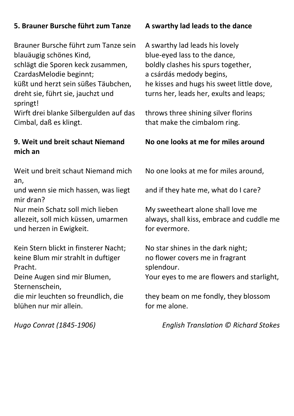#### **5. Brauner Bursche führt zum Tanze**

Brauner Bursche führt zum Tanze sein blauäugig schönes Kind,

schlägt die Sporen keck zusammen, CzardasMelodie beginnt;

küßt und herzt sein süßes Täubchen, dreht sie, führt sie, jauchzt und springt!

Wirft drei blanke Silbergulden auf das Cimbal, daß es klingt.

#### **9. Weit und breit schaut Niemand mich an**

Weit und breit schaut Niemand mich an,

und wenn sie mich hassen, was liegt mir dran?

Nur mein Schatz soll mich lieben allezeit, soll mich küssen, umarmen und herzen in Ewigkeit.

Kein Stern blickt in finsterer Nacht; keine Blum mir strahlt in duftiger Pracht.

Deine Augen sind mir Blumen, Sternenschein,

die mir leuchten so freundlich, die blühen nur mir allein.

#### **A swarthy lad leads to the dance**

A swarthy lad leads his lovely blue-eyed lass to the dance, boldly clashes his spurs together, a csárdás medody begins, he kisses and hugs his sweet little dove, turns her, leads her, exults and leaps;

throws three shining silver florins that make the cimbalom ring.

#### **No one looks at me for miles around**

No one looks at me for miles around,

and if they hate me, what do I care?

My sweetheart alone shall love me always, shall kiss, embrace and cuddle me for evermore.

No star shines in the dark night; no flower covers me in fragrant splendour. Your eyes to me are flowers and starlight,

they beam on me fondly, they blossom for me alone.

*Hugo Conrat (1845-1906) English Translation © [Richard Stokes](https://www.oxfordlieder.co.uk/poet/238)*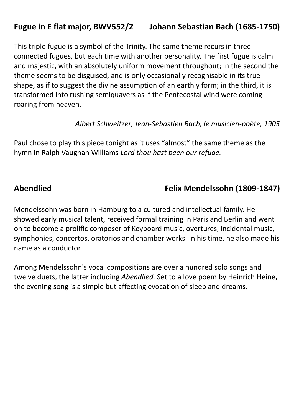### **Fugue in E flat major, BWV552/2 Johann Sebastian Bach (1685-1750)**

This triple fugue is a symbol of the Trinity. The same theme recurs in three connected fugues, but each time with another personality. The first fugue is calm and majestic, with an absolutely uniform movement throughout; in the second the theme seems to be disguised, and is only occasionally recognisable in its true shape, as if to suggest the divine assumption of an earthly form; in the third, it is transformed into rushing semiquavers as if the Pentecostal wind were coming roaring from heaven.

*[Albert Schweitzer,](https://en.wikipedia.org/wiki/Albert_Schweitzer) Jean-Sebastien Bach, le musicien-poête, 1905*

Paul chose to play this piece tonight as it uses "almost" the same theme as the hymn in Ralph Vaughan Williams *Lord thou hast been our refuge.*

#### **Abendlied Felix Mendelssohn (1809-1847)**

Mendelssohn was born in Hamburg to a cultured and intellectual family. He showed early musical talent, received formal training in Paris and Berlin and went on to become a prolific composer of Keyboard music, overtures, incidental music, symphonies, concertos, oratorios and chamber works. In his time, he also made his name as a conductor.

Among Mendelssohn's vocal compositions are over a hundred solo songs and twelve duets, the latter including *Abendlied.* Set to a love poem by Heinrich Heine, the evening song is a simple but affecting evocation of sleep and dreams.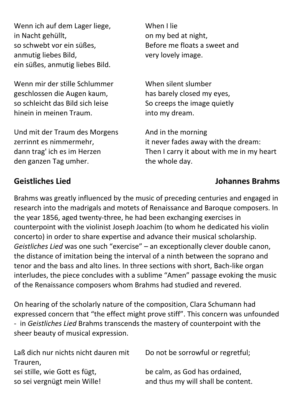Wenn ich auf dem Lager liege, in Nacht gehüllt, so schwebt vor ein süßes, anmutig liebes Bild, ein süßes, anmutig liebes Bild.

Wenn mir der stille Schlummer geschlossen die Augen kaum, so schleicht das Bild sich leise hinein in meinen Traum.

Und mit der Traum des Morgens zerrinnt es nimmermehr, dann trag' ich es im Herzen den ganzen Tag umher.

When I lie on my bed at night, Before me floats a sweet and very lovely image.

When silent slumber has barely closed my eyes, So creeps the image quietly into my dream.

And in the morning it never fades away with the dream: Then I carry it about with me in my heart the whole day.

#### **Geistliches Lied Johannes Brahms**

Brahms was greatly influenced by the music of preceding centuries and engaged in research into the madrigals and motets of Renaissance and Baroque composers. In the year 1856, aged twenty-three, he had been exchanging exercises in counterpoint with the violinist Joseph Joachim (to whom he dedicated his violin concerto) in order to share expertise and advance their musical scholarship. *Geistliches Lied* was one such "exercise" – an exceptionally clever double canon, the distance of imitation being the interval of a ninth between the soprano and tenor and the bass and alto lines. In three sections with short, Bach-like organ interludes, the piece concludes with a sublime "Amen" passage evoking the music of the Renaissance composers whom Brahms had studied and revered.

On hearing of the scholarly nature of the composition, Clara Schumann had expressed concern that "the effect might prove stiff". This concern was unfounded - in *Geistliches Lied* Brahms transcends the mastery of counterpoint with the sheer beauty of musical expression.

| Laß dich nur nichts nicht dauren mit | Do not be sorrowful or regretful;  |  |
|--------------------------------------|------------------------------------|--|
| Trauren,                             |                                    |  |
| sei stille, wie Gott es fügt,        | be calm, as God has ordained,      |  |
| so sei vergnügt mein Wille!          | and thus my will shall be content. |  |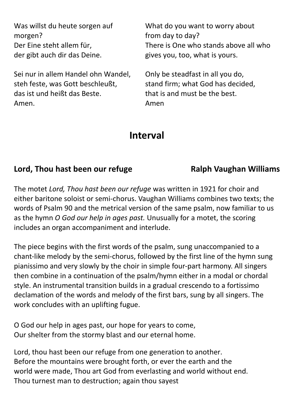| Was willst du heute sorgen auf      | What do you want to worry about       |
|-------------------------------------|---------------------------------------|
| morgen?                             | from day to day?                      |
| Der Eine steht allem für,           | There is One who stands above all who |
| der gibt auch dir das Deine.        | gives you, too, what is yours.        |
| Sei nur in allem Handel ohn Wandel, | Only be steadfast in all you do,      |
| steh feste, was Gott beschleußt,    | stand firm; what God has decided,     |
| das ist und heißt das Beste.        | that is and must be the best.         |
| Amen.                               | Amen                                  |

### **Interval**

#### **Lord, Thou hast been our refuge <b>EXALL** Ralph Vaughan Williams

The motet *Lord, Thou hast been our refuge* was written in 1921 for choir and either baritone soloist or semi-chorus. Vaughan Williams combines two texts; the words of Psalm 90 and the metrical version of the same psalm, now familiar to us as the hymn *O God our help in ages past.* Unusually for a motet, the scoring includes an organ accompaniment and interlude.

The piece begins with the first words of the psalm, sung unaccompanied to a chant-like melody by the semi-chorus, followed by the first line of the hymn sung pianissimo and very slowly by the choir in simple four-part harmony. All singers then combine in a continuation of the psalm/hymn either in a modal or chordal style. An instrumental transition builds in a gradual crescendo to a fortissimo declamation of the words and melody of the first bars, sung by all singers. The work concludes with an uplifting fugue.

O God our help in ages past, our hope for years to come, Our shelter from the stormy blast and our eternal home.

Lord, thou hast been our refuge from one generation to another. Before the mountains were brought forth, or ever the earth and the world were made, Thou art God from everlasting and world without end. Thou turnest man to destruction; again thou sayest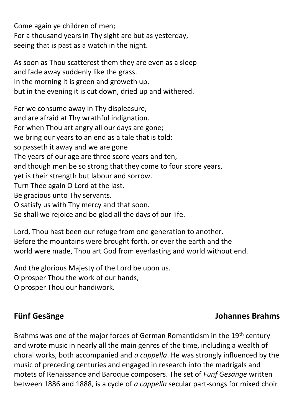Come again ye children of men; For a thousand years in Thy sight are but as yesterday, seeing that is past as a watch in the night.

As soon as Thou scatterest them they are even as a sleep and fade away suddenly like the grass. In the morning it is green and groweth up, but in the evening it is cut down, dried up and withered.

For we consume away in Thy displeasure, and are afraid at Thy wrathful indignation. For when Thou art angry all our days are gone; we bring our years to an end as a tale that is told: so passeth it away and we are gone The years of our age are three score years and ten, and though men be so strong that they come to four score years, yet is their strength but labour and sorrow. Turn Thee again O Lord at the last. Be gracious unto Thy servants. O satisfy us with Thy mercy and that soon. So shall we rejoice and be glad all the days of our life.

Lord, Thou hast been our refuge from one generation to another. Before the mountains were brought forth, or ever the earth and the world were made, Thou art God from everlasting and world without end.

And the glorious Majesty of the Lord be upon us.

O prosper Thou the work of our hands,

O prosper Thou our handiwork.

#### **Fünf Gesänge Johannes Brahms**

Brahms was one of the major forces of German Romanticism in the 19<sup>th</sup> century and wrote music in nearly all the main genres of the time, including a wealth of choral works, both accompanied and *a cappella*. He was strongly influenced by the music of preceding centuries and engaged in research into the madrigals and motets of Renaissance and Baroque composers. The set of *Fünf Gesänge* written between 1886 and 1888, is a cycle of *a cappella* secular part-songs for mixed choir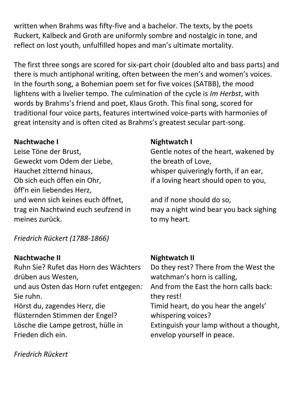written when Brahms was fifty-five and a bachelor. The texts, by the poets Ruckert, Kalbeck and Groth are uniformly sombre and nostalgic in tone, and reflect on lost youth, unfulfilled hopes and man's ultimate mortality.

The first three songs are scored for six-part choir (doubled alto and bass parts) and there is much antiphonal writing, often between the men's and women's voices. In the fourth song, a Bohemian poem set for five voices (SATBB), the mood lightens with a livelier tempo. The culmination of the cycle is *Im Herbst*, with words by Brahms's friend and poet, Klaus Groth. This final song, scored for traditional four voice parts, features intertwined voice-parts with harmonies of great intensity and is often cited as Brahms's greatest secular part-song.

#### **Nachtwache I**

Leise Töne der Brust, Geweckt vom Odem der Liebe, Hauchet zitternd hinaus, Ob sich euch öffen ein Ohr, öff'n ein liebendes Herz, und wenn sich keines euch öffnet, trag ein Nachtwind euch seufzend in meines zurück.

*Friedrich Rückert (1788-1866)*

#### **Nachtwache II**

Ruhn Sie? Rufet das Horn des Wächters drüben aus Westen,

und aus Osten das Horn rufet entgegen: Sie ruhn.

Hörst du, zagendes Herz, die flüsternden Stimmen der Engel? Lösche die Lampe getrost, hülle in Frieden dich ein.

#### *Friedrich Rückert*

#### **Nightwatch I**

Gentle notes of the heart, wakened by the breath of Love, whisper quiveringly forth, if an ear, if a loving heart should open to you,

and if none should do so, may a night wind bear you back sighing to my heart.

#### **Nightwatch II**

Do they rest? There from the West the watchman's horn is calling, And from the East the horn calls back: they rest! Timid heart, do you hear the angels' whispering voices? Extinguish your lamp without a thought, envelop yourself in peace.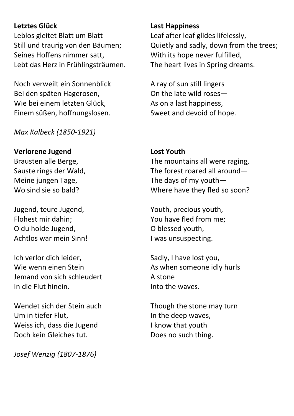#### **Letztes Glück**

Leblos gleitet Blatt um Blatt Still und traurig von den Bäumen; Seines Hoffens nimmer satt, Lebt das Herz in Frühlingsträumen.

Noch verweilt ein Sonnenblick Bei den späten Hagerosen, Wie bei einem letzten Glück, Einem süßen, hoffnungslosen.

*Max Kalbeck (1850-1921)*

#### **Verlorene Jugend**

Brausten alle Berge, Sauste rings der Wald, Meine jungen Tage, Wo sind sie so bald?

Jugend, teure Jugend, Flohest mir dahin; O du holde Jugend, Achtlos war mein Sinn!

Ich verlor dich leider, Wie wenn einen Stein Jemand von sich schleudert In die Flut hinein.

Wendet sich der Stein auch Um in tiefer Flut, Weiss ich, dass die Jugend Doch kein Gleiches tut.

*Josef Wenzig (1807-1876)*

#### **Last Happiness**

Leaf after leaf glides lifelessly, Quietly and sadly, down from the trees; With its hope never fulfilled, The heart lives in Spring dreams.

A ray of sun still lingers On the late wild roses— As on a last happiness, Sweet and devoid of hope.

#### **Lost Youth**

The mountains all were raging, The forest roared all around— The days of my youth— Where have they fled so soon?

Youth, precious youth, You have fled from me; O blessed youth, I was unsuspecting.

Sadly, I have lost you, As when someone idly hurls A stone Into the waves.

Though the stone may turn In the deep waves, I know that youth Does no such thing.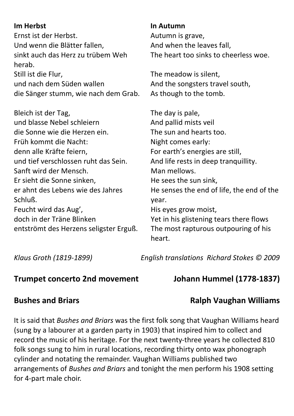| <b>Im Herbst</b><br>Ernst ist der Herbst.<br>Und wenn die Blätter fallen,<br>sinkt auch das Herz zu trübem Weh<br>herab.<br>Still ist die Flur,<br>und nach dem Süden wallen<br>die Sänger stumm, wie nach dem Grab.                                                                                                                                                                    | In Autumn<br>Autumn is grave,<br>And when the leaves fall,<br>The heart too sinks to cheerless woe.<br>The meadow is silent,<br>And the songsters travel south,<br>As though to the tomb.                                                                                                                                                                                                 |
|-----------------------------------------------------------------------------------------------------------------------------------------------------------------------------------------------------------------------------------------------------------------------------------------------------------------------------------------------------------------------------------------|-------------------------------------------------------------------------------------------------------------------------------------------------------------------------------------------------------------------------------------------------------------------------------------------------------------------------------------------------------------------------------------------|
| Bleich ist der Tag,<br>und blasse Nebel schleiern<br>die Sonne wie die Herzen ein.<br>Früh kommt die Nacht:<br>denn alle Kräfte feiern,<br>und tief verschlossen ruht das Sein.<br>Sanft wird der Mensch.<br>Er sieht die Sonne sinken,<br>er ahnt des Lebens wie des Jahres<br>Schluß.<br>Feucht wird das Aug',<br>doch in der Träne Blinken<br>entströmt des Herzens seligster Erguß. | The day is pale,<br>And pallid mists veil<br>The sun and hearts too.<br>Night comes early:<br>For earth's energies are still,<br>And life rests in deep tranquillity.<br>Man mellows.<br>He sees the sun sink,<br>He senses the end of life, the end of the<br>year.<br>His eyes grow moist,<br>Yet in his glistening tears there flows<br>The most rapturous outpouring of his<br>heart. |

*Klaus Groth (1819-1899) English translations Richard Stokes © 2009*

#### **Trumpet concerto 2nd movement Johann Hummel (1778-1837)**

### **Bushes and Briars Community Community Ralph Vaughan Williams**

It is said that *Bushes and Briars* was the first folk song that Vaughan Williams heard (sung by a labourer at a garden party in 1903) that inspired him to collect and record the music of his heritage. For the next twenty-three years he collected 810 folk songs sung to him in rural locations, recording thirty onto wax phonograph cylinder and notating the remainder. Vaughan Williams published two arrangements of *Bushes and Briars* and tonight the men perform his 1908 setting for 4-part male choir.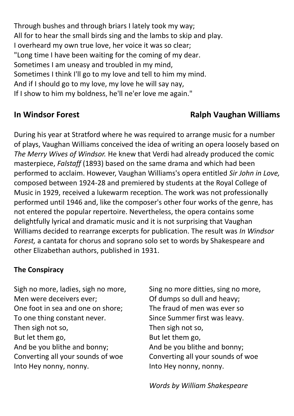Through bushes and through briars I lately took my way; All for to hear the small birds sing and the lambs to skip and play. I overheard my own true love, her voice it was so clear; "Long time I have been waiting for the coming of my dear. Sometimes I am uneasy and troubled in my mind, Sometimes I think I'll go to my love and tell to him my mind. And if I should go to my love, my love he will say nay, If I show to him my boldness, he'll ne'er love me again."

### **In Windsor Forest Ralph Vaughan Williams**

During his year at Stratford where he was required to arrange music for a number of plays, Vaughan Williams conceived the idea of writing an opera loosely based on *The Merry Wives of Windsor.* He knew that Verdi had already produced the comic masterpiece, *Falstaff* (1893) based on the same drama and which had been performed to acclaim. However, Vaughan Williams's opera entitled *Sir John in Love,*  composed between 1924-28 and premiered by students at the Royal College of Music in 1929, received a lukewarm reception. The work was not professionally performed until 1946 and, like the composer's other four works of the genre, has not entered the popular repertoire. Nevertheless, the opera contains some delightfully lyrical and dramatic music and it is not surprising that Vaughan Williams decided to rearrange excerpts for publication. The result was *In Windsor Forest,* a cantata for chorus and soprano solo set to words by Shakespeare and other Elizabethan authors, published in 1931.

#### **The Conspiracy**

Sigh no more, ladies, sigh no more, Men were deceivers ever; One foot in sea and one on shore; To one thing constant never. Then sigh not so, But let them go, And be you blithe and bonny; Converting all your sounds of woe Into Hey nonny, nonny.

Sing no more ditties, sing no more, Of dumps so dull and heavy; The fraud of men was ever so Since Summer first was leavy. Then sigh not so, But let them go, And be you blithe and bonny; Converting all your sounds of woe Into Hey nonny, nonny.

*Words by William Shakespeare*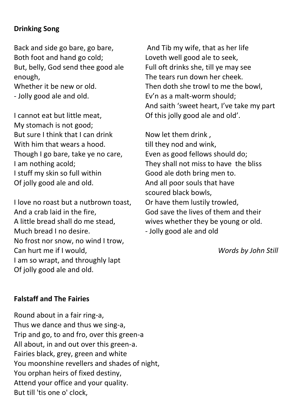#### **Drinking Song**

Back and side go bare, go bare, Both foot and hand go cold; But, belly, God send thee good ale enough, Whether it be new or old.

- Jolly good ale and old.

I cannot eat but little meat, My stomach is not good; But sure I think that I can drink With him that wears a hood. Though I go bare, take ye no care, I am nothing acold; I stuff my skin so full within Of jolly good ale and old.

I love no roast but a nutbrown toast, And a crab laid in the fire, A little bread shall do me stead, Much bread I no desire. No frost nor snow, no wind I trow, Can hurt me if I would, I am so wrapt, and throughly lapt Of jolly good ale and old.

And Tib my wife, that as her life Loveth well good ale to seek, Full oft drinks she, till ye may see The tears run down her cheek. Then doth she trowl to me the bowl, Ev'n as a malt-worm should; And saith 'sweet heart, I've take my part Of this jolly good ale and old'.

Now let them drink , till they nod and wink, Even as good fellows should do; They shall not miss to have the bliss Good ale doth bring men to. And all poor souls that have scoured black bowls, Or have them lustily trowled, God save the lives of them and their wives whether they be young or old. - Jolly good ale and old

*Words by John Still*

#### **Falstaff and The Fairies**

Round about in a fair ring-a, Thus we dance and thus we sing-a, Trip and go, to and fro, over this green-a All about, in and out over this green-a. Fairies black, grey, green and white You moonshine revellers and shades of night, You orphan heirs of fixed destiny, Attend your office and your quality. But till 'tis one o' clock,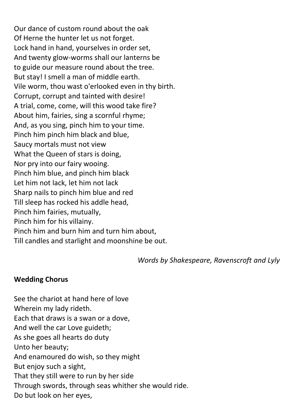Our dance of custom round about the oak Of Herne the hunter let us not forget. Lock hand in hand, yourselves in order set, And twenty glow-worms shall our lanterns be to guide our measure round about the tree. But stay! I smell a man of middle earth. Vile worm, thou wast o'erlooked even in thy birth. Corrupt, corrupt and tainted with desire! A trial, come, come, will this wood take fire? About him, fairies, sing a scornful rhyme; And, as you sing, pinch him to your time. Pinch him pinch him black and blue, Saucy mortals must not view What the Queen of stars is doing, Nor pry into our fairy wooing. Pinch him blue, and pinch him black Let him not lack, let him not lack Sharp nails to pinch him blue and red Till sleep has rocked his addle head, Pinch him fairies, mutually, Pinch him for his villainy. Pinch him and burn him and turn him about, Till candles and starlight and moonshine be out.

*Words by Shakespeare, Ravenscroft and Lyly*

#### **Wedding Chorus**

See the chariot at hand here of love Wherein my lady rideth. Each that draws is a swan or a dove, And well the car Love guideth; As she goes all hearts do duty Unto her beauty; And enamoured do wish, so they might But enjoy such a sight, That they still were to run by her side Through swords, through seas whither she would ride. Do but look on her eyes,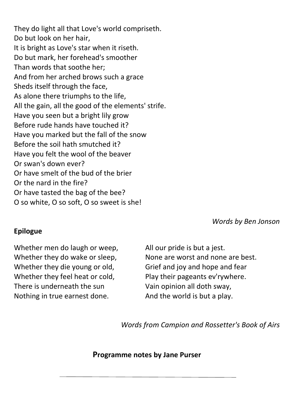They do light all that Love's world compriseth. Do but look on her hair, It is bright as Love's star when it riseth. Do but mark, her forehead's smoother Than words that soothe her; And from her arched brows such a grace Sheds itself through the face, As alone there triumphs to the life, All the gain, all the good of the elements' strife. Have you seen but a bright lily grow Before rude hands have touched it? Have you marked but the fall of the snow Before the soil hath smutched it? Have you felt the wool of the beaver Or swan's down ever? Or have smelt of the bud of the brier Or the nard in the fire? Or have tasted the bag of the bee? O so white, O so soft, O so sweet is she!

*Words by Ben Jonson*

#### **Epilogue**

Whether men do laugh or weep, Whether they do wake or sleep, Whether they die young or old, Whether they feel heat or cold, There is underneath the sun Nothing in true earnest done.

All our pride is but a jest. None are worst and none are best. Grief and joy and hope and fear Play their pageants ev'rywhere. Vain opinion all doth sway, And the world is but a play.

*Words from Campion and Rossetter's Book of Airs*

**Programme notes by Jane Purser**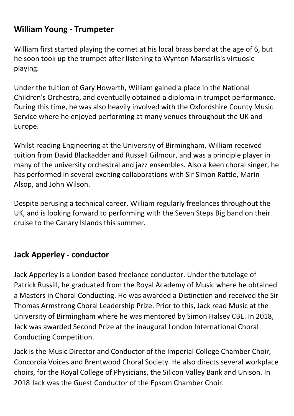#### **William Young - Trumpeter**

William first started playing the cornet at his local brass band at the age of 6, but he soon took up the trumpet after listening to Wynton Marsarlis's virtuosic playing.

Under the tuition of Gary Howarth, William gained a place in the National Children's Orchestra, and eventually obtained a diploma in trumpet performance. During this time, he was also heavily involved with the Oxfordshire County Music Service where he enjoyed performing at many venues throughout the UK and Europe.

Whilst reading Engineering at the University of Birmingham, William received tuition from David Blackadder and Russell Gilmour, and was a principle player in many of the university orchestral and jazz ensembles. Also a keen choral singer, he has performed in several exciting collaborations with Sir Simon Rattle, Marin Alsop, and John Wilson.

Despite perusing a technical career, William regularly freelances throughout the UK, and is looking forward to performing with the Seven Steps Big band on their cruise to the Canary Islands this summer.

#### **Jack Apperley - conductor**

Jack Apperley is a London based freelance conductor. Under the tutelage of Patrick Russill, he graduated from the Royal Academy of Music where he obtained a Masters in Choral Conducting. He was awarded a Distinction and received the Sir Thomas Armstrong Choral Leadership Prize. Prior to this, Jack read Music at the University of Birmingham where he was mentored by Simon Halsey CBE. In 2018, Jack was awarded Second Prize at the inaugural London International Choral Conducting Competition.

Jack is the Music Director and Conductor of the Imperial College Chamber Choir, Concordia Voices and Brentwood Choral Society. He also directs several workplace choirs, for the Royal College of Physicians, the Silicon Valley Bank and Unison. In 2018 Jack was the Guest Conductor of the Epsom Chamber Choir.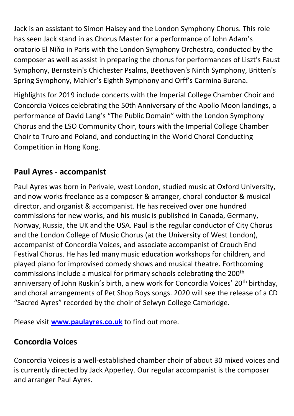Jack is an assistant to Simon Halsey and the London Symphony Chorus. This role has seen Jack stand in as Chorus Master for a performance of John Adam's oratorio El Niňo in Paris with the London Symphony Orchestra, conducted by the composer as well as assist in preparing the chorus for performances of Liszt's Faust Symphony, Bernstein's Chichester Psalms, Beethoven's Ninth Symphony, Britten's Spring Symphony, Mahler's Eighth Symphony and Orff's Carmina Burana.

Highlights for 2019 include concerts with the Imperial College Chamber Choir and Concordia Voices celebrating the 50th Anniversary of the Apollo Moon landings, a performance of David Lang's "The Public Domain" with the London Symphony Chorus and the LSO Community Choir, tours with the Imperial College Chamber Choir to Truro and Poland, and conducting in the World Choral Conducting Competition in Hong Kong.

### **Paul Ayres - accompanist**

Paul Ayres was born in Perivale, west London, studied music at Oxford University, and now works freelance as a composer & arranger, choral conductor & musical director, and organist & accompanist. He has received over one hundred commissions for new works, and his music is published in Canada, Germany, Norway, Russia, the UK and the USA. Paul is the regular conductor of City Chorus and the London College of Music Chorus (at the University of West London), accompanist of Concordia Voices, and associate accompanist of Crouch End Festival Chorus. He has led many music education workshops for children, and played piano for improvised comedy shows and musical theatre. Forthcoming commissions include a musical for primary schools celebrating the 200th anniversary of John Ruskin's birth, a new work for Concordia Voices' 20<sup>th</sup> birthday, and choral arrangements of Pet Shop Boys songs. 2020 will see the release of a CD "Sacred Ayres" recorded by the choir of Selwyn College Cambridge.

Please visit **[www.paulayres.co.uk](http://www.paulayres.co.uk/)** to find out more.

#### **Concordia Voices**

Concordia Voices is a well-established chamber choir of about 30 mixed voices and is currently directed by Jack Apperley. Our regular accompanist is the composer and arranger Paul Ayres.